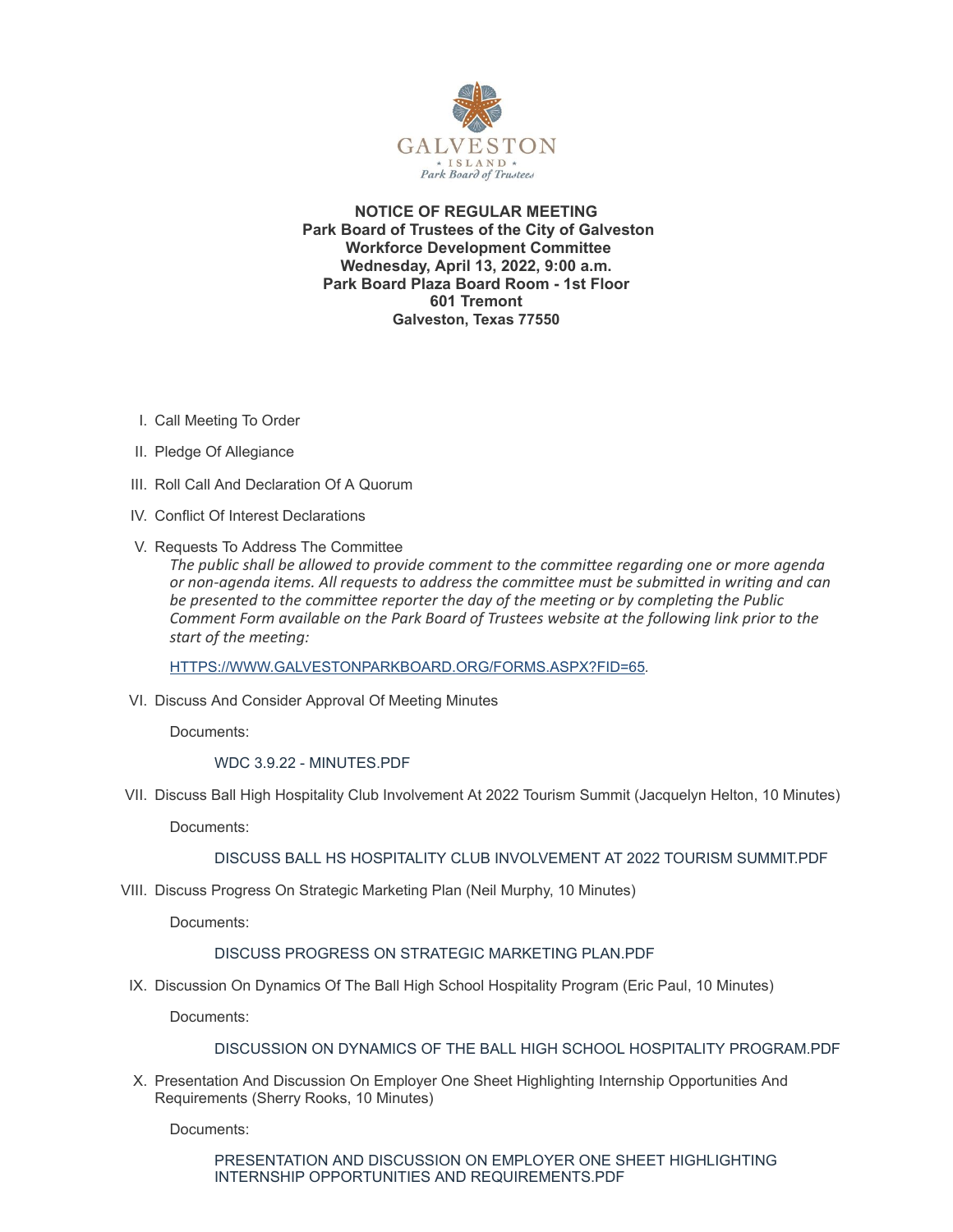

**NOTICE OF REGULAR MEETING Park Board of Trustees of the City of Galveston Workforce Development Committee Wednesday, April 13, 2022, 9:00 a.m. Park Board Plaza Board Room - 1st Floor 601 Tremont Galveston, Texas 77550**

- I. Call Meeting To Order
- II. Pledge Of Allegiance
- III. Roll Call And Declaration Of A Quorum
- IV. Conflict Of Interest Declarations
- V. Requests To Address The Committee

*The public shall be allowed to provide comment to the committee regarding one or more agenda or non-agenda items. All requests to address the committee must be submitted in writing and can be presented to the committee reporter the day of the meeting or by completing the Public Comment Form available on the Park Board of Trustees website at the following link prior to the start of the meeting:*

[HTTPS://WWW.GALVESTONPARKBOARD.ORG/FORMS.ASPX?FID=65](https://www.galvestonparkboard.org/forms.aspx?FID=65)*.*

VI. Discuss And Consider Approval Of Meeting Minutes

Documents:

WDC 3.9.22 - [MINUTES.PDF](https://www.galvestonparkboard.org/AgendaCenter/ViewFile/Item/7555?fileID=11545)

VII. Discuss Ball High Hospitality Club Involvement At 2022 Tourism Summit (Jacquelyn Helton, 10 Minutes)

Documents:

DISCUSS BALL HS HOSPITALITY CLUB [INVOLVEMENT](https://www.galvestonparkboard.org/AgendaCenter/ViewFile/Item/7491?fileID=11347) AT 2022 TOURISM SUMMIT.PDF

VIII. Discuss Progress On Strategic Marketing Plan (Neil Murphy, 10 Minutes)

Documents:

# DISCUSS PROGRESS ON STRATEGIC [MARKETING](https://www.galvestonparkboard.org/AgendaCenter/ViewFile/Item/7490?fileID=11348) PLAN.PDF

IX. Discussion On Dynamics Of The Ball High School Hospitality Program (Eric Paul, 10 Minutes)

Documents:

# DISCUSSION ON DYNAMICS OF THE BALL HIGH SCHOOL HOSPITALITY [PROGRAM.PDF](https://www.galvestonparkboard.org/AgendaCenter/ViewFile/Item/7552?fileID=11435)

X. Presentation And Discussion On Employer One Sheet Highlighting Internship Opportunities And Requirements (Sherry Rooks, 10 Minutes)

Documents:

PRESENTATION AND DISCUSSION ON EMPLOYER ONE SHEET HIGHLIGHTING INTERNSHIP OPPORTUNITIES AND [REQUIREMENTS.PDF](https://www.galvestonparkboard.org/AgendaCenter/ViewFile/Item/7487?fileID=11340)